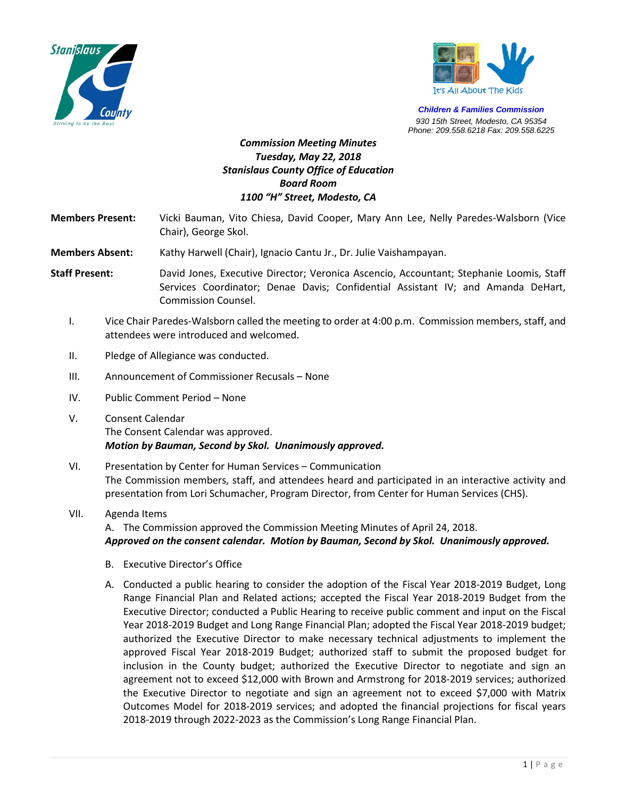



*Children & Families Commission 930 15th Street, Modesto, CA 95354 Phone: 209.558.6218 Fax: 209.558.6225*

### *Commission Meeting Minutes Tuesday, May 22, 2018 Stanislaus County Office of Education Board Room 1100 "H" Street, Modesto, CA*

- **Members Present:** Vicki Bauman, Vito Chiesa, David Cooper, Mary Ann Lee, Nelly Paredes-Walsborn (Vice Chair), George Skol.
- **Members Absent:** Kathy Harwell (Chair), Ignacio Cantu Jr., Dr. Julie Vaishampayan.
- **Staff Present:** David Jones, Executive Director; Veronica Ascencio, Accountant; Stephanie Loomis, Staff Services Coordinator; Denae Davis; Confidential Assistant IV; and Amanda DeHart, Commission Counsel.
	- I. Vice Chair Paredes-Walsborn called the meeting to order at 4:00 p.m. Commission members, staff, and attendees were introduced and welcomed.
	- II. Pledge of Allegiance was conducted.
	- III. Announcement of Commissioner Recusals None
	- IV. Public Comment Period None
	- V. Consent Calendar The Consent Calendar was approved. *Motion by Bauman, Second by Skol. Unanimously approved.*
	- VI. Presentation by Center for Human Services Communication The Commission members, staff, and attendees heard and participated in an interactive activity and presentation from Lori Schumacher, Program Director, from Center for Human Services (CHS).

#### VII. Agenda Items

A. The Commission approved the Commission Meeting Minutes of April 24, 2018. *Approved on the consent calendar. Motion by Bauman, Second by Skol. Unanimously approved.*

- B. Executive Director's Office
- A. Conducted a public hearing to consider the adoption of the Fiscal Year 2018-2019 Budget, Long Range Financial Plan and Related actions; accepted the Fiscal Year 2018-2019 Budget from the Executive Director; conducted a Public Hearing to receive public comment and input on the Fiscal Year 2018-2019 Budget and Long Range Financial Plan; adopted the Fiscal Year 2018-2019 budget; authorized the Executive Director to make necessary technical adjustments to implement the approved Fiscal Year 2018-2019 Budget; authorized staff to submit the proposed budget for inclusion in the County budget; authorized the Executive Director to negotiate and sign an agreement not to exceed \$12,000 with Brown and Armstrong for 2018-2019 services; authorized the Executive Director to negotiate and sign an agreement not to exceed \$7,000 with Matrix Outcomes Model for 2018-2019 services; and adopted the financial projections for fiscal years 2018-2019 through 2022-2023 as the Commission's Long Range Financial Plan.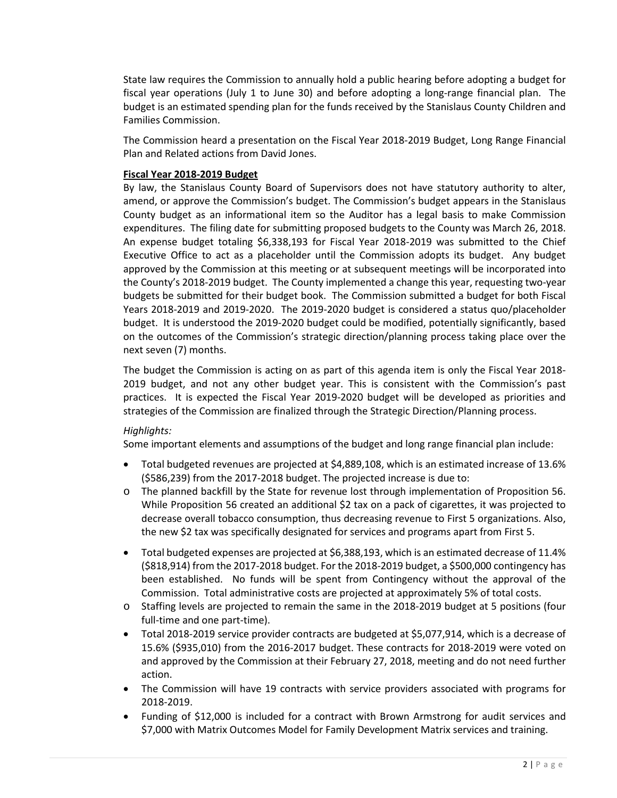State law requires the Commission to annually hold a public hearing before adopting a budget for fiscal year operations (July 1 to June 30) and before adopting a long-range financial plan. The budget is an estimated spending plan for the funds received by the Stanislaus County Children and Families Commission.

The Commission heard a presentation on the Fiscal Year 2018-2019 Budget, Long Range Financial Plan and Related actions from David Jones.

### **Fiscal Year 2018-2019 Budget**

By law, the Stanislaus County Board of Supervisors does not have statutory authority to alter, amend, or approve the Commission's budget. The Commission's budget appears in the Stanislaus County budget as an informational item so the Auditor has a legal basis to make Commission expenditures. The filing date for submitting proposed budgets to the County was March 26, 2018. An expense budget totaling \$6,338,193 for Fiscal Year 2018-2019 was submitted to the Chief Executive Office to act as a placeholder until the Commission adopts its budget. Any budget approved by the Commission at this meeting or at subsequent meetings will be incorporated into the County's 2018-2019 budget. The County implemented a change this year, requesting two-year budgets be submitted for their budget book. The Commission submitted a budget for both Fiscal Years 2018-2019 and 2019-2020. The 2019-2020 budget is considered a status quo/placeholder budget. It is understood the 2019-2020 budget could be modified, potentially significantly, based on the outcomes of the Commission's strategic direction/planning process taking place over the next seven (7) months.

The budget the Commission is acting on as part of this agenda item is only the Fiscal Year 2018- 2019 budget, and not any other budget year. This is consistent with the Commission's past practices. It is expected the Fiscal Year 2019-2020 budget will be developed as priorities and strategies of the Commission are finalized through the Strategic Direction/Planning process.

#### *Highlights:*

Some important elements and assumptions of the budget and long range financial plan include:

- Total budgeted revenues are projected at \$4,889,108, which is an estimated increase of 13.6% (\$586,239) from the 2017-2018 budget. The projected increase is due to:
- o The planned backfill by the State for revenue lost through implementation of Proposition 56. While Proposition 56 created an additional \$2 tax on a pack of cigarettes, it was projected to decrease overall tobacco consumption, thus decreasing revenue to First 5 organizations. Also, the new \$2 tax was specifically designated for services and programs apart from First 5.
- Total budgeted expenses are projected at \$6,388,193, which is an estimated decrease of 11.4% (\$818,914) from the 2017-2018 budget. For the 2018-2019 budget, a \$500,000 contingency has been established. No funds will be spent from Contingency without the approval of the Commission. Total administrative costs are projected at approximately 5% of total costs.
- o Staffing levels are projected to remain the same in the 2018-2019 budget at 5 positions (four full-time and one part-time).
- Total 2018-2019 service provider contracts are budgeted at \$5,077,914, which is a decrease of 15.6% (\$935,010) from the 2016-2017 budget. These contracts for 2018-2019 were voted on and approved by the Commission at their February 27, 2018, meeting and do not need further action.
- The Commission will have 19 contracts with service providers associated with programs for 2018-2019.
- Funding of \$12,000 is included for a contract with Brown Armstrong for audit services and \$7,000 with Matrix Outcomes Model for Family Development Matrix services and training.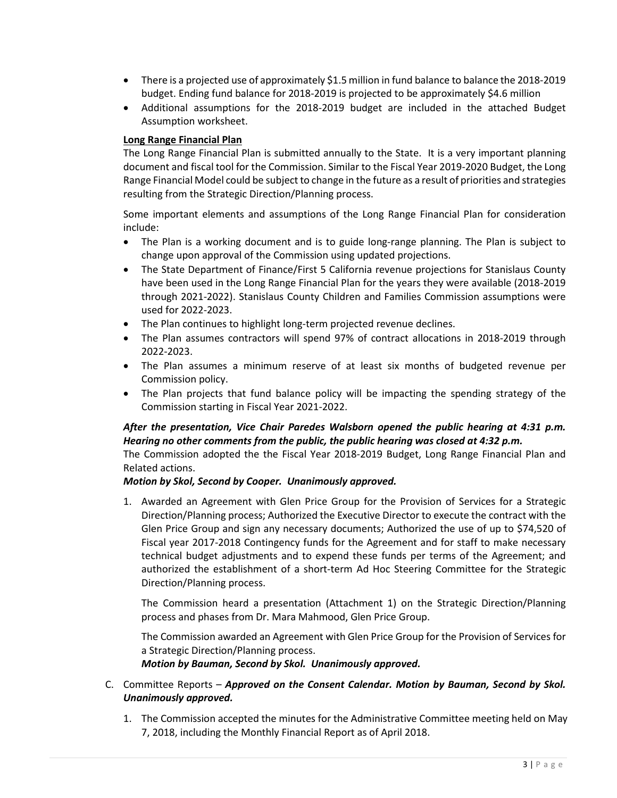- There is a projected use of approximately \$1.5 million in fund balance to balance the 2018-2019 budget. Ending fund balance for 2018-2019 is projected to be approximately \$4.6 million
- Additional assumptions for the 2018-2019 budget are included in the attached Budget Assumption worksheet.

### **Long Range Financial Plan**

The Long Range Financial Plan is submitted annually to the State. It is a very important planning document and fiscal tool for the Commission. Similar to the Fiscal Year 2019-2020 Budget, the Long Range Financial Model could be subject to change in the future as a result of priorities and strategies resulting from the Strategic Direction/Planning process.

Some important elements and assumptions of the Long Range Financial Plan for consideration include:

- The Plan is a working document and is to guide long-range planning. The Plan is subject to change upon approval of the Commission using updated projections.
- The State Department of Finance/First 5 California revenue projections for Stanislaus County have been used in the Long Range Financial Plan for the years they were available (2018-2019 through 2021-2022). Stanislaus County Children and Families Commission assumptions were used for 2022-2023.
- The Plan continues to highlight long-term projected revenue declines.
- The Plan assumes contractors will spend 97% of contract allocations in 2018-2019 through 2022-2023.
- The Plan assumes a minimum reserve of at least six months of budgeted revenue per Commission policy.
- The Plan projects that fund balance policy will be impacting the spending strategy of the Commission starting in Fiscal Year 2021-2022.

### *After the presentation, Vice Chair Paredes Walsborn opened the public hearing at 4:31 p.m. Hearing no other comments from the public, the public hearing was closed at 4:32 p.m.*

The Commission adopted the the Fiscal Year 2018-2019 Budget, Long Range Financial Plan and Related actions.

### *Motion by Skol, Second by Cooper. Unanimously approved.*

1. Awarded an Agreement with Glen Price Group for the Provision of Services for a Strategic Direction/Planning process; Authorized the Executive Director to execute the contract with the Glen Price Group and sign any necessary documents; Authorized the use of up to \$74,520 of Fiscal year 2017-2018 Contingency funds for the Agreement and for staff to make necessary technical budget adjustments and to expend these funds per terms of the Agreement; and authorized the establishment of a short-term Ad Hoc Steering Committee for the Strategic Direction/Planning process.

The Commission heard a presentation (Attachment 1) on the Strategic Direction/Planning process and phases from Dr. Mara Mahmood, Glen Price Group.

The Commission awarded an Agreement with Glen Price Group for the Provision of Services for a Strategic Direction/Planning process.

*Motion by Bauman, Second by Skol. Unanimously approved.*

- C. Committee Reports *Approved on the Consent Calendar. Motion by Bauman, Second by Skol. Unanimously approved.*
	- 1. The Commission accepted the minutes for the Administrative Committee meeting held on May 7, 2018, including the Monthly Financial Report as of April 2018.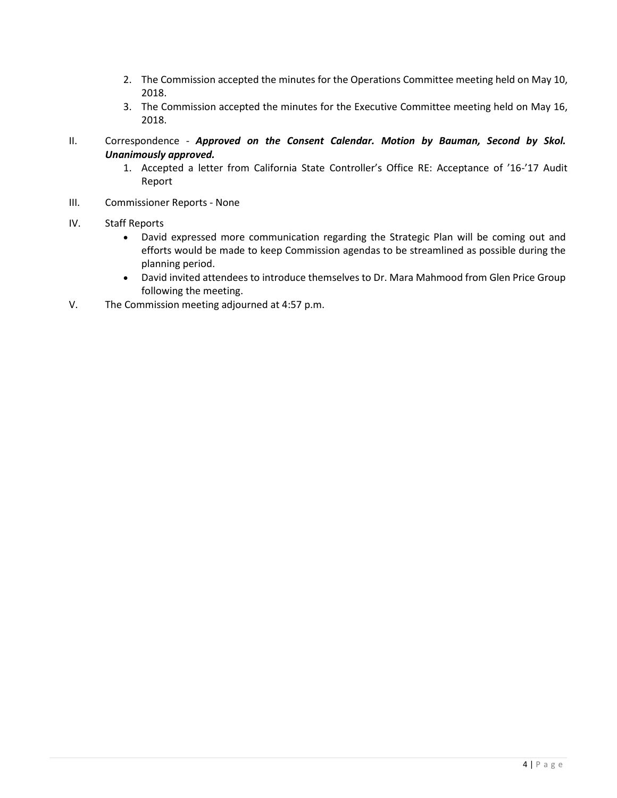- 2. The Commission accepted the minutes for the Operations Committee meeting held on May 10, 2018.
- 3. The Commission accepted the minutes for the Executive Committee meeting held on May 16, 2018.
- II. Correspondence *Approved on the Consent Calendar. Motion by Bauman, Second by Skol. Unanimously approved.*
	- 1. Accepted a letter from California State Controller's Office RE: Acceptance of '16-'17 Audit Report
- III. Commissioner Reports None
- IV. Staff Reports
	- David expressed more communication regarding the Strategic Plan will be coming out and efforts would be made to keep Commission agendas to be streamlined as possible during the planning period.
	- David invited attendees to introduce themselves to Dr. Mara Mahmood from Glen Price Group following the meeting.
- V. The Commission meeting adjourned at 4:57 p.m.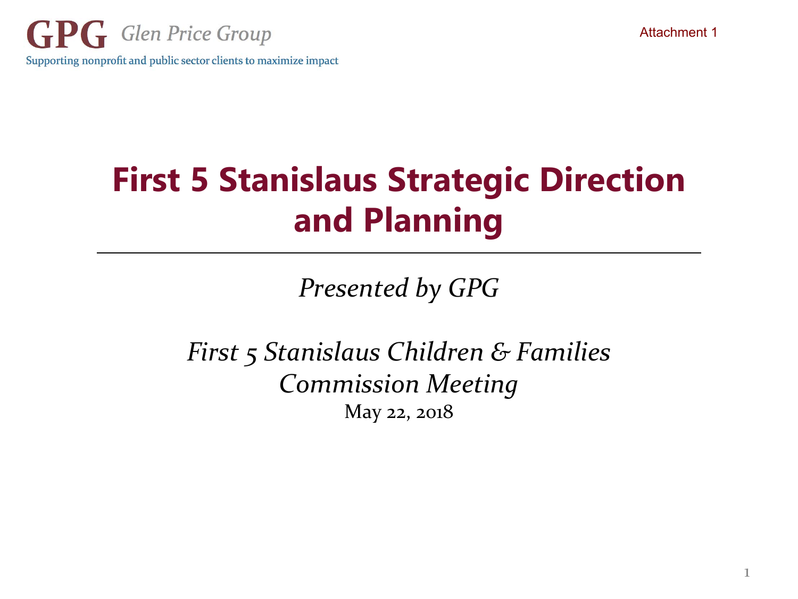

## **First 5 Stanislaus Strategic Direction and Planning**

*Presented by GPG*

*First 5 Stanislaus Children & Families Commission Meeting* May 22, 2018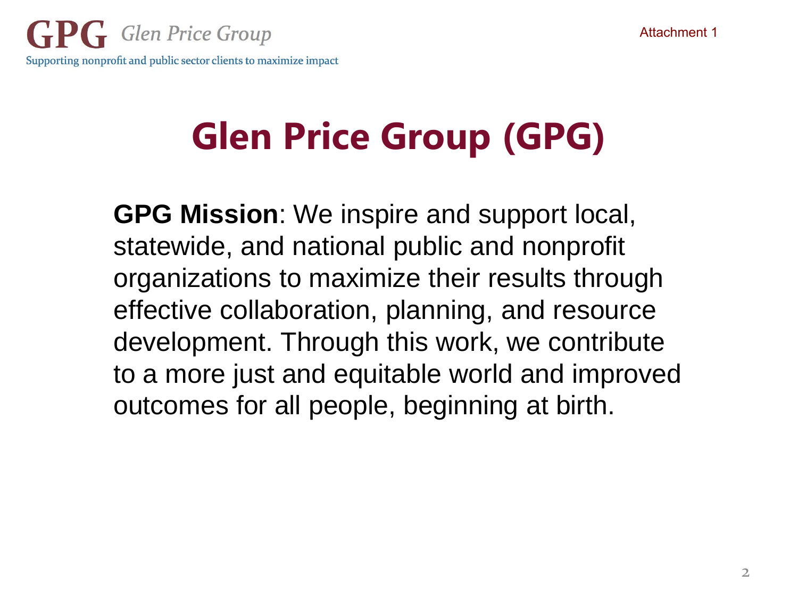# **Glen Price Group (GPG)**

**GPG Mission**: We inspire and support local, statewide, and national public and nonprofit organizations to maximize their results through effective collaboration, planning, and resource development. Through this work, we contribute to a more just and equitable world and improved outcomes for all people, beginning at birth.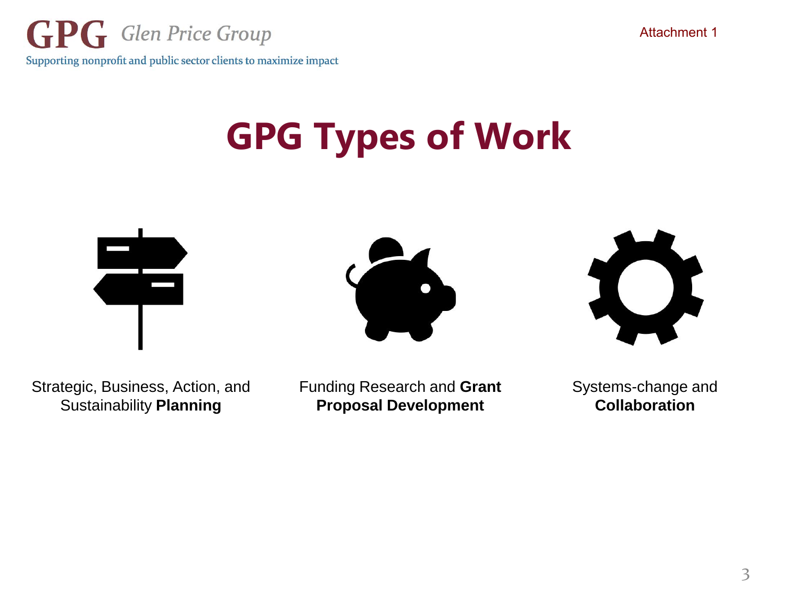

# **GPG Types of Work**







Strategic, Business, Action, and Sustainability **Planning**

Funding Research and **Grant Proposal Development**

Systems-change and **Collaboration**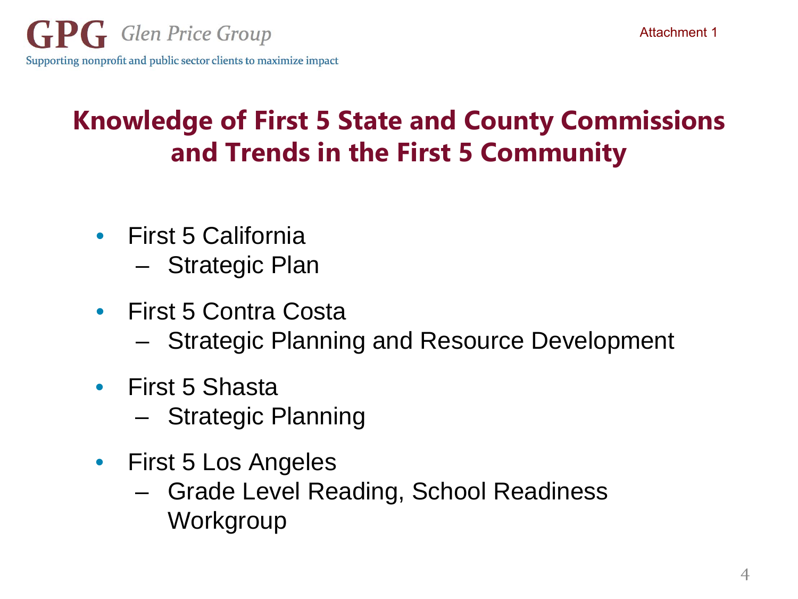### **Knowledge of First 5 State and County Commissions and Trends in the First 5 Community**

- First 5 California
	- Strategic Plan
- First 5 Contra Costa
	- Strategic Planning and Resource Development
- First 5 Shasta
	- Strategic Planning
- First 5 Los Angeles
	- Grade Level Reading, School Readiness Workgroup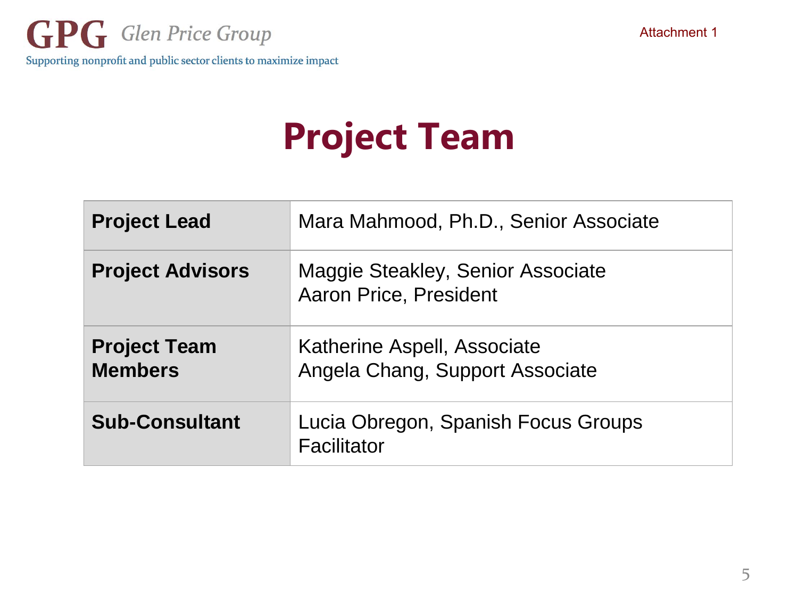# **Project Team**

| <b>Project Lead</b>                   | Mara Mahmood, Ph.D., Senior Associate                              |
|---------------------------------------|--------------------------------------------------------------------|
| <b>Project Advisors</b>               | Maggie Steakley, Senior Associate<br><b>Aaron Price, President</b> |
| <b>Project Team</b><br><b>Members</b> | Katherine Aspell, Associate<br>Angela Chang, Support Associate     |
| <b>Sub-Consultant</b>                 | Lucia Obregon, Spanish Focus Groups<br>Facilitator                 |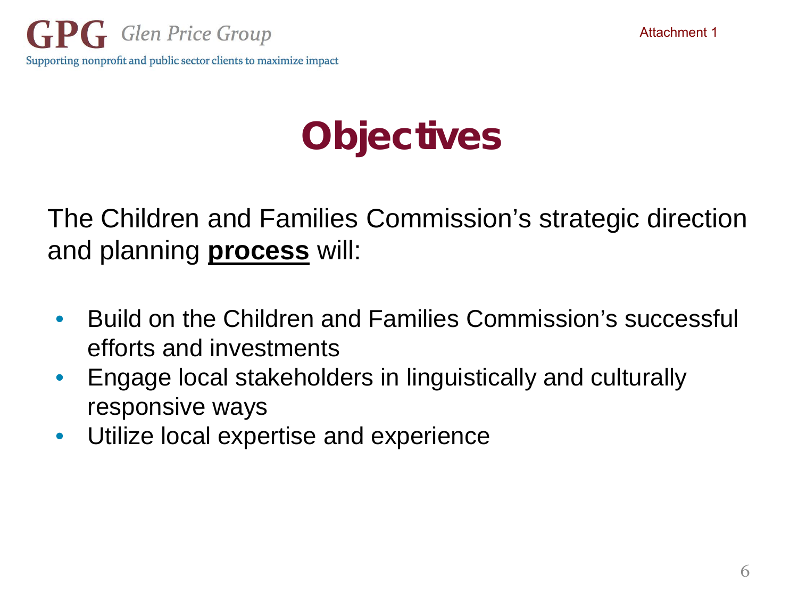## **Objectives**

The Children and Families Commission's strategic direction and planning **process** will:

- Build on the Children and Families Commission's successful efforts and investments
- Engage local stakeholders in linguistically and culturally responsive ways
- Utilize local expertise and experience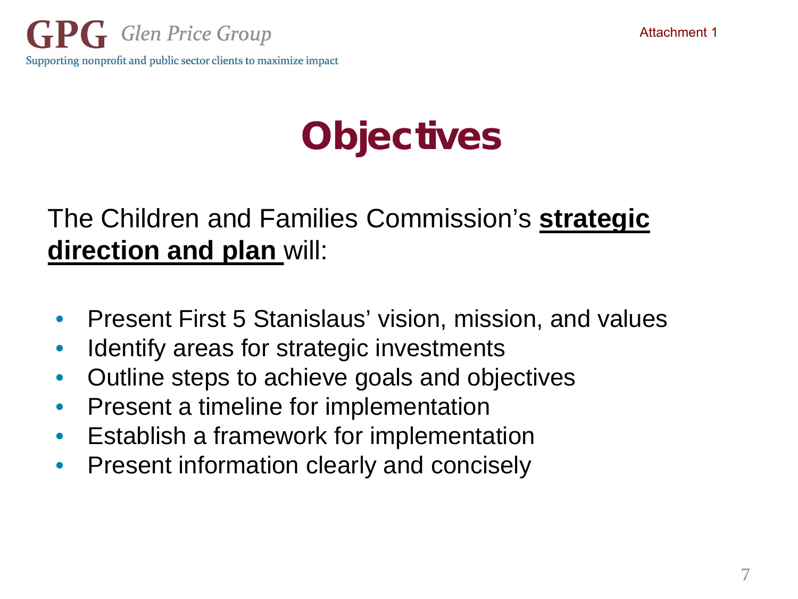## **Objectives**

### The Children and Families Commission's **strategic direction and plan** will:

- Present First 5 Stanislaus' vision, mission, and values
- Identify areas for strategic investments
- Outline steps to achieve goals and objectives
- Present a timeline for implementation
- Establish a framework for implementation
- Present information clearly and concisely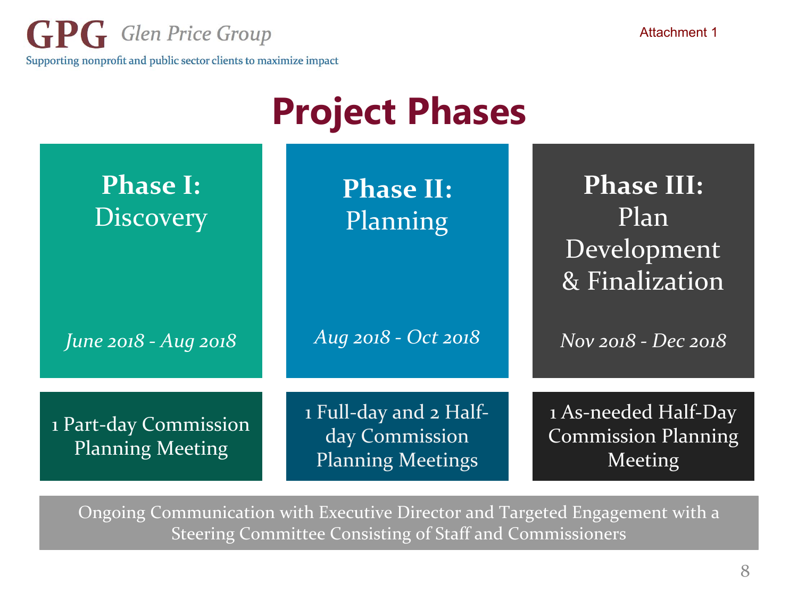Supporting nonprofit and public sector clients to maximize impact

**GPG** Glen Price Group

| <b>Project Phases</b>                            |                                                                      |                                                               |  |  |
|--------------------------------------------------|----------------------------------------------------------------------|---------------------------------------------------------------|--|--|
| <b>Phase I:</b><br><b>Discovery</b>              | <b>Phase II:</b><br>Planning                                         | <b>Phase III:</b><br>Plan<br>Development<br>& Finalization    |  |  |
| June 2018 - Aug 2018                             | Aug 2018 - Oct 2018                                                  | Nov 2018 - Dec 2018                                           |  |  |
| 1 Part-day Commission<br><b>Planning Meeting</b> | 1 Full-day and 2 Half-<br>day Commission<br><b>Planning Meetings</b> | 1 As-needed Half-Day<br><b>Commission Planning</b><br>Meeting |  |  |

Ongoing Communication with Executive Director and Targeted Engagement with a Steering Committee Consisting of Staff and Commissioners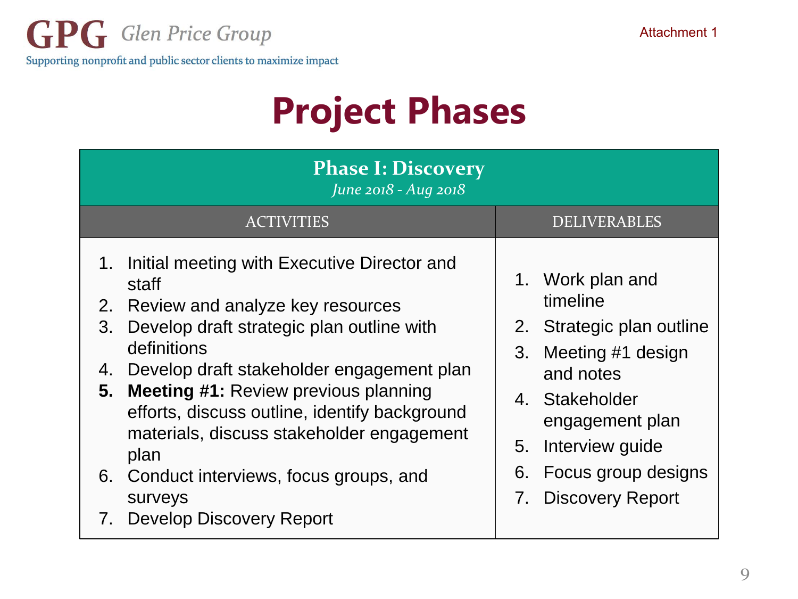## **Project Phases**

| <b>Phase I: Discovery</b><br>June 2018 - Aug 2018                                                                                                                                                                                                                                                                                                                                                                                                                                    |                                                                                                                                                                                                                     |  |  |
|--------------------------------------------------------------------------------------------------------------------------------------------------------------------------------------------------------------------------------------------------------------------------------------------------------------------------------------------------------------------------------------------------------------------------------------------------------------------------------------|---------------------------------------------------------------------------------------------------------------------------------------------------------------------------------------------------------------------|--|--|
| <b>ACTIVITIES</b>                                                                                                                                                                                                                                                                                                                                                                                                                                                                    | <b>DELIVERABLES</b>                                                                                                                                                                                                 |  |  |
| Initial meeting with Executive Director and<br>1.<br>staff<br>Review and analyze key resources<br>2.<br>Develop draft strategic plan outline with<br>3.<br>definitions<br>Develop draft stakeholder engagement plan<br>4.<br><b>Meeting #1: Review previous planning</b><br>5.<br>efforts, discuss outline, identify background<br>materials, discuss stakeholder engagement<br>plan<br>6. Conduct interviews, focus groups, and<br>surveys<br><b>Develop Discovery Report</b><br>7. | 1. Work plan and<br>timeline<br>2. Strategic plan outline<br>Meeting #1 design<br>3.<br>and notes<br>4. Stakeholder<br>engagement plan<br>Interview guide<br>5.<br>Focus group designs<br>6.<br>7. Discovery Report |  |  |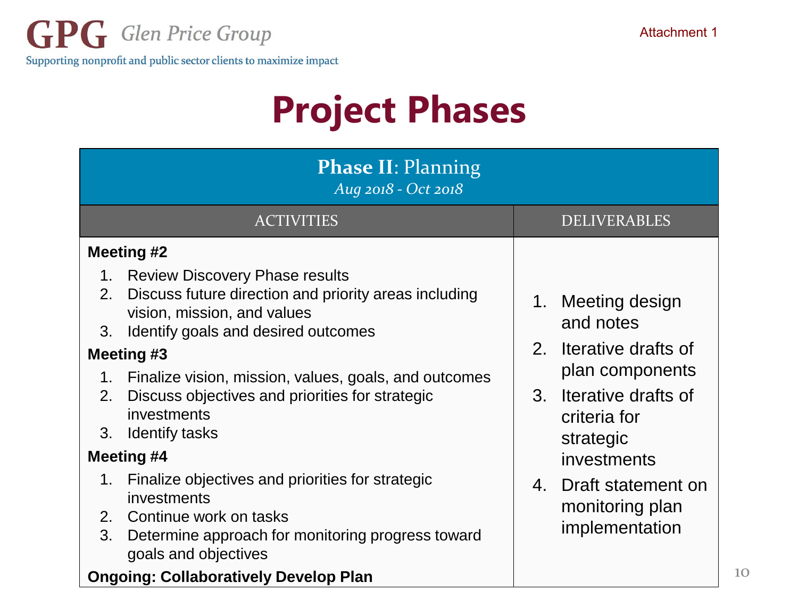**GPG** Glen Price Group

Supporting nonprofit and public sector clients to maximize impact

## **Project Phases**

| <b>Phase II: Planning</b><br>Aug 2018 - Oct 2018                                                                                                                                                                                                                                                                                                                      |                                                                                                                                                      |  |  |  |
|-----------------------------------------------------------------------------------------------------------------------------------------------------------------------------------------------------------------------------------------------------------------------------------------------------------------------------------------------------------------------|------------------------------------------------------------------------------------------------------------------------------------------------------|--|--|--|
| <b>ACTIVITIES</b>                                                                                                                                                                                                                                                                                                                                                     | <b>DELIVERABLES</b>                                                                                                                                  |  |  |  |
| Meeting #2                                                                                                                                                                                                                                                                                                                                                            |                                                                                                                                                      |  |  |  |
| 1. Review Discovery Phase results<br>Discuss future direction and priority areas including<br>2 <sub>1</sub><br>vision, mission, and values<br>Identify goals and desired outcomes<br>3.<br>Meeting #3<br>Finalize vision, mission, values, goals, and outcomes<br>1.<br>Discuss objectives and priorities for strategic<br>2.<br>investments<br>Identify tasks<br>3. | 1. Meeting design<br>and notes<br>2.<br>Iterative drafts of<br>plan components<br>3 <sub>1</sub><br>Iterative drafts of<br>criteria for<br>strategic |  |  |  |
| Meeting #4                                                                                                                                                                                                                                                                                                                                                            | investments                                                                                                                                          |  |  |  |
| 1. Finalize objectives and priorities for strategic<br>investments<br>Continue work on tasks<br>2.<br>3.<br>Determine approach for monitoring progress toward<br>goals and objectives                                                                                                                                                                                 | 4. Draft statement on<br>monitoring plan<br>implementation                                                                                           |  |  |  |
| <b>Ongoing: Collaboratively Develop Plan</b>                                                                                                                                                                                                                                                                                                                          |                                                                                                                                                      |  |  |  |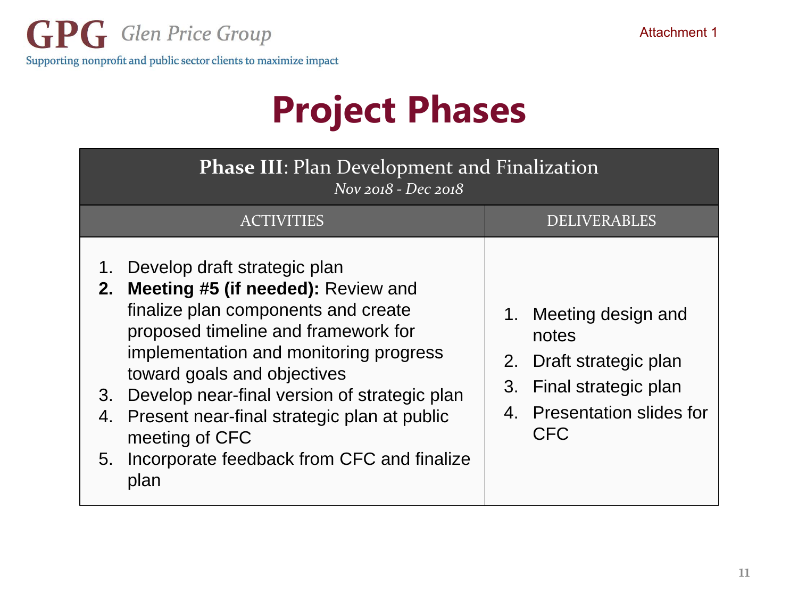## **Project Phases**

| <b>Phase III: Plan Development and Finalization</b><br>Nov 2018 - Dec 2018                                                                                                                                                                                                                                                                                                                                      |                                                                                                                                  |  |  |
|-----------------------------------------------------------------------------------------------------------------------------------------------------------------------------------------------------------------------------------------------------------------------------------------------------------------------------------------------------------------------------------------------------------------|----------------------------------------------------------------------------------------------------------------------------------|--|--|
| <b>ACTIVITIES</b>                                                                                                                                                                                                                                                                                                                                                                                               | <b>DELIVERABLES</b>                                                                                                              |  |  |
| Develop draft strategic plan<br>2. Meeting #5 (if needed): Review and<br>finalize plan components and create<br>proposed timeline and framework for<br>implementation and monitoring progress<br>toward goals and objectives<br>3. Develop near-final version of strategic plan<br>Present near-final strategic plan at public<br>4.<br>meeting of CFC<br>5. Incorporate feedback from CFC and finalize<br>plan | 1. Meeting design and<br>notes<br>2. Draft strategic plan<br>3. Final strategic plan<br>4. Presentation slides for<br><b>CFC</b> |  |  |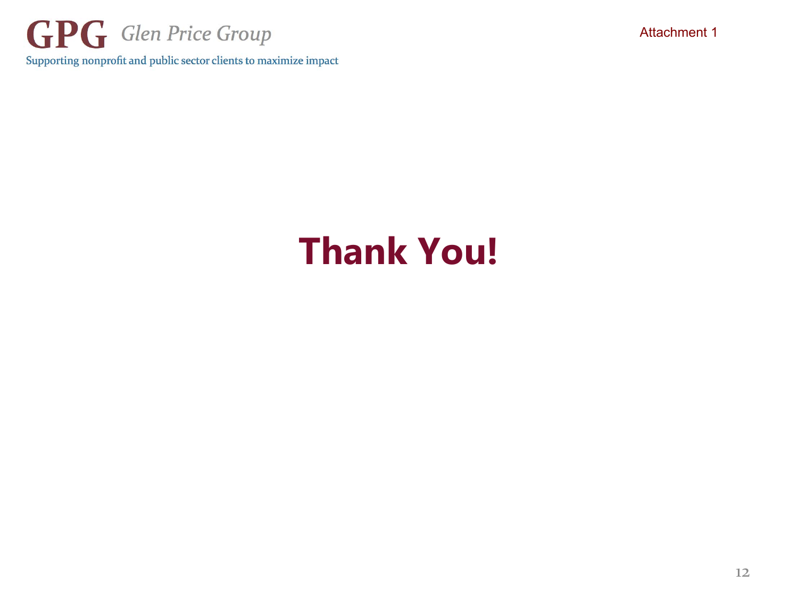

## **Thank You!**